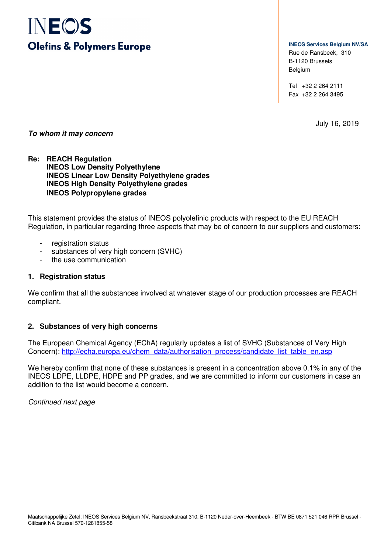# INEOS **Olefins & Polymers Europe**

**INEOS Services Belgium NV/SA** Rue de Ransbeek, 310 B-1120 Brussels Belgium

Tel +32 2 264 2111 Fax +32 2 264 3495

July 16, 2019

# **To whom it may concern**

# **Re: REACH Regulation INEOS Low Density Polyethylene INEOS Linear Low Density Polyethylene grades INEOS High Density Polyethylene grades INEOS Polypropylene grades**

This statement provides the status of INEOS polyolefinic products with respect to the EU REACH Regulation, in particular regarding three aspects that may be of concern to our suppliers and customers:

- registration status
- substances of very high concern (SVHC)
- the use communication

#### **1. Registration status**

We confirm that all the substances involved at whatever stage of our production processes are REACH compliant.

# **2. Substances of very high concerns**

The European Chemical Agency (EChA) regularly updates a list of SVHC (Substances of Very High Concern): http://echa.europa.eu/chem\_data/authorisation\_process/candidate\_list\_table\_en.asp

We hereby confirm that none of these substances is present in a concentration above 0.1% in any of the INEOS LDPE, LLDPE, HDPE and PP grades, and we are committed to inform our customers in case an addition to the list would become a concern.

Continued next page